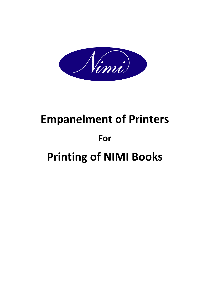

# **Empanelment of Printers For Printing of NIMI Books**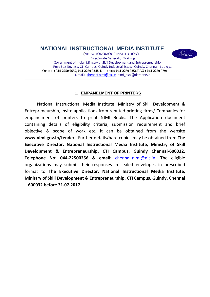**NATIONAL INSTRUCTIONAL MEDIA INSTITUTE** 



(AN AUTONOMOUS INSTITUTION) Directorate General of Training Government of India ‐ Ministry of Skill Development and Entrepreneurship Post Box No.3142, CTI Campus, Guindy Industrial Estate, Guindy, Chennai ‐ 600 032. **OFFICE : 044-2250 0657, 044-2250 0248 DIRECTOR 044-2250 0256 FAX : 044-2250 0791**  E-mail : chennai-nimi@nic.in nimi bsnl@dataone.in

## **1. EMPANELMENT OF PRINTERS**

National Instructional Media Institute, Ministry of Skill Development & Entrepreneurship, invite applications from reputed printing firms/ Companies for empanelment of printers to print NIMI Books. The Application document containing details of eligibility criteria, submission requirement and brief objective & scope of work etc. it can be obtained from the website **www.nimi.gov.in/tender**. Further details/hard copies may be obtained from **The Executive Director, National Instructional Media Institute, Ministry of Skill Development & Entrepreneurship, CTI Campus, Guindy Chennai‐600032. Telephone No: 044‐22500256 & email:** chennai‐nimi@nic.in**.** The eligible organizations may submit their responses in sealed envelopes in prescribed format to **The Executive Director, National Instructional Media Institute, Ministry of Skill Development & Entrepreneurship, CTI Campus, Guindy, Chennai – 600032 before 31.07.2017**.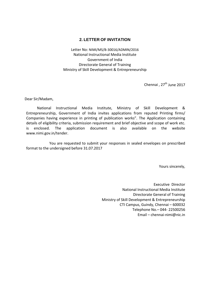## **2. LETTER OF INVITATION**

Letter No: NIMI/MS/B‐30016/ADMIN/2016 National Instructional Media Institute Government of India Directorate General of Training Ministry of Skill Development & Entrepreneurship

Chennai, 27<sup>th</sup> June 2017

Dear Sir/Madam,

National Instructional Media Institute, Ministry of Skill Development & Entrepreneurship, Government of India invites applications from reputed Printing firms/ Companies having experience in printing of publication works". The Application containing details of eligibility criteria, submission requirement and brief objective and scope of work etc. is enclosed. The application document is also available on the website www.nimi.gov.in/tender.

You are requested to submit your responses in sealed envelopes on prescribed format to the undersigned before 31.07.2017

Yours sincerely,

Executive Director National Instructional Media Institute Directorate General of Training Ministry of Skill Development & Entrepreneurship CTI Campus, Guindy, Chennai – 600032 Telephone No.– 044‐ 22500256 Email – chennai‐nimi@nic.in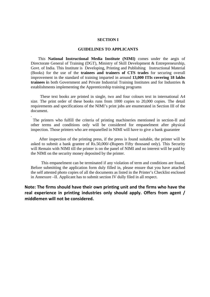#### **SECTION I**

## **GUIDELINES TO APPLICANTS**

 This **National Instructional Media Institute (NIMI)** comes under the aegis of Directorate General of Training (DGT), Ministry of Skill Development & Entrepreneurship, Govt. of India. This Institute is Developing, Printing and Publishing Instructional Material (Books) for the use of the **trainees and trainers of CTS trades** for securing overall improvement in the standard of training imparted in around **13,000 ITIs covering 18 lakhs trainees i**n both Government and Private Industrial Training Institutes and for Industries & establishments implementing the Apprenticeship training programs

 These text books are printed in single, two and four colours text in international A4 size. The print order of these books runs from 1000 copies to 20,000 copies. The detail requirements and specifications of the NIMI's print jobs are enumerated in Section III of the document.

 The printers who fulfill the criteria of printing machineries mentioned in section-II and other terms and conditions only will be considered for empanelment after physical inspection. Those printers who are empanelled in NIMI will have to give a bank guarantee

.

 After inspection of the printing press, if the press is found suitable, the printer will be asked to submit a bank grantee of Rs.50,000/-(Rupees Fifty thousand only). This Security will Remain with NIMI till the printer is on the panel of NIMI and no interest will be paid by the NIMI on the security money deposited by the printer.

 This empanelment can be terminated if any violation of term and conditions are found, Before submitting the application form duly filled in, please ensure that you have attached the self attested photo copies of all the documents as listed in the Printer's Checklist enclosed in Annexure –II. Applicant has to submit section IV dully filed in all respect.

**Note: The firms should have their own printing unit and the firms who have the real experience in printing industries only should apply. Offers from agent / middlemen will not be considered.**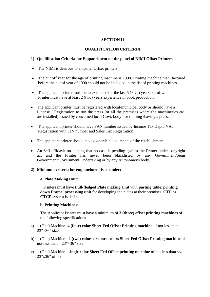## **SECTION II**

## **QUALIFICATION CRITERIA**

## **1) Qualification Criteria for Empanelment on the panel of NIMI Offset Printers**

- The NIMI is desirous to empanel Offset printers
- The cut off year for the age of printing machine is 1990. Printing machine manufactured before the cut of year of 1990 should not be included in the list of printing machines.
- The applicant printer must be in existence for the last 5 (Five) years out of which Printer must have at least 2 (two) years experience in book production.
- The applicant printer must be registered with local/municipal body or should have a License / Registration to run the press (of all the premises where the machineries etc. are installed) issued by concerned local Govt. body for running /having a press.
- The applicant printer should have PAN number issued by Income Tax Deptt, VAT Registration with TIN number and Sales Tax Registration.
- The applicant printer should have ownership documents of the establishment.
- An Self affidavit on stating that no case is pending against the Printer under copyright act and the Printer has never been blacklisted by any Government/Semi Government/Government Undertaking or by any Autonomous body.

## **2) Minimum criteria for empanelment is as under:**

#### **a. Plate Making Unit**:

 Printers must have **Full-fledged Plate making Unit** with **pasting table, printing down Frame, processing unit** for developing the plates at their premises. **CTP or CTCP** system is desirable.

#### **b. Printing Machines:**

The Applicant Printer must have a minimum of **3 (three) offset printing machines** of the following specifications

- a) 1 (One) Machine- **4 (four) color Sheet Fed Offset Printing machine** of not less than  $23'' \times 36''$  size.
- b) 1 (One) Machine **2 (two) colors or more colors Sheet Fed Offset Printing machine** of not less than 23"×36" size.
- c) 1 (One) Machine **single color Sheet Fed Offset printing machine** of not less than size 23"x36" offset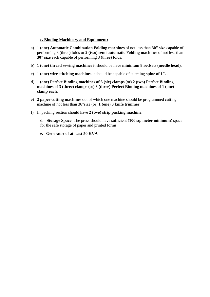## **c. Binding Machinery and Equipment:**

- a) **1 (one) Automatic Combination Folding machines** of not less than **30" size** capable of performing 3 (three) folds or **2 (two) semi automatic Folding machines** of not less than **30" size** each capable of performing 3 (three) folds.
- b) **1 (one) thread sewing machines** it should be have **minimum 8 rockets (needle head)**.
- c) **1 (one) wire stitching machines** it should be capable of stitching **spine of 1".** .
- d) **1 (one) Perfect Binding machines of 6 (six) clamps** (or) **2 (two) Perfect Binding machines of 3 (three) clamps** (or) **3 (three) Perfect Binding machines of 1 (one) clamp each**.
- e) **2 paper cutting machines** out of which one machine should be programmed cutting machine of not less than 36"size (or) **1 (one) 3 knife trimmer**.
- f) In packing section should have **2 (two) strip packing machine**.

**d. Storage Space**: The press should have sufficient (**100 sq. meter minimum**) space for the safe storage of paper and printed forms.

**e. Generator of at least 50 KVA**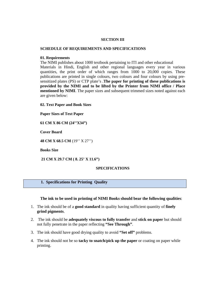#### **SECTION III**

#### **SCHEDULE OF REQUIREMENTS AND SPECIFICATIONS**

#### **01. Requirements**

The NIMI publishes about 1000 textbook pertaining to ITI and other educational Materials in Hindi, English and other regional languages every year in various quantities, the print order of which ranges from 1000 to 20,000 copies. These publications are printed in single colours, two colours and four colours by using presensitized plates (PS) or CTP plate's .**The paper for printing of these publications is provided by the NIMI and to be lifted by the Printer from NIMI office / Place mentioned by NIMI**. The paper sizes and subsequent trimmed sizes noted against each are given below:

**02. Text Paper and Book Sizes** 

**Paper Sizes of Text Paper** 

**61 CM X 86 CM (24''X34")** 

**Cover Board** 

**48 CM X 68.5 CM** (19'' X 27'')

**Books Size** 

 **21 CM X 29.7 CM ( 8. 25' X 11.6")** 

## **SPECIFICATIONS**

## **1. Specifications for Printing Quality**

**The ink to be used in printing of NIMI Books should bear the following qualities**:

- 1. The ink should be of a **good standard** in quality having sufficient quantity of **finely grind pigments**.
- 2. The ink should be **adequately viscous to fully transfer** and **stick on paper** but should not fully penetrate in the paper reflecting **"See Through"**.
- 3. The ink should have good drying quality to avoid **"Set off"** problems.
- 4. The ink should not be so **tacky to snatch/pick up the paper** or coating on paper while printing.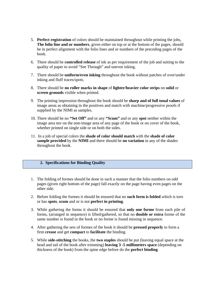- 5. **Perfect registration** of colors should be maintained throughout while printing the jobs, **The folio line and or numbers**, given either on top or at the bottom of the pages, should be in perfect alignment with the folio lines and or numbers of the preceding pages of the book.
- 6. There should be **controlled release** of ink as per requirement of the job and suiting to the quality of paper to avoid "See Through" and uneven inking.
- 7. There should be **uniform/even inking** throughout the book without patches of over/under inking and fluff traces/spots.
- 8. There should be **no roller marks in shape** of **lighter/heavier color strips** on **solid** or **screen grounds** visible when printed.
- 9. The printing impression throughout the book should be **sharp and of full tonal values** of image areas as obtaining in the positives and match with machine/progressive proofs if supplied by the NIMI as samples.
- 10. There should be no **"Set Off"** and or any **"Scum"** and or any **spot** neither within the image area nor on the non-image area of any page of the book or on cover of the book, whether printed on single side or on both the sides.
- 11. In a job of special colors the **shade of color should match** with the **shade of color sample provided** by the **NIMI** and there should be **no variation** in any of the shades throughout the book.

#### **2. Specifications for Binding Quality**

- 1. The folding of formes should be done in such a manner that the folio numbers on odd pages (given right bottom of the page) fall exactly on the page having even pages on the other side.
- 2. Before folding the formes it should be ensured that no **such form is folded** which is torn or has **spots**, **scum** and or is not **perfect in printing**.
- 3. While gathering the forms it should be ensured that **only one forme** from each pile of forms, (arranged in sequence) is lifted/gathered, so that no **double or extra** forme of the same number is found in the book or no forme is found missing in sequence.
- 4. After gathering the sets of formes of the book it should be **pressed properly** to form a firm **crease** and get **compact** to **facilitate** the binding.
- 5. While **side-stitching** the books, the **two staples** should be put (leaving equal space at the head and tail of the book after trimming) **leaving 3 -5 millimeters space** (depending on thickness of the book) from the spine edge before do the **perfect binding**.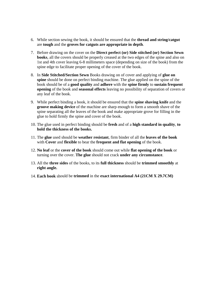- 6. While section sewing the book, it should be ensured that the **thread and string/catgut** are **tough** and the **groves for catguts are appropriate in depth**.
- 7. Before drawing on the cover on the **Direct perfect (or) Side stitched (or) Section Sewn books**, all the covers should be properly creased at the two edges of the spine and also on 1st and 4th cover leaving 6-8 millimeters space (depending on size of the book) from the spine edge to facilitate proper opening of the cover of the book.
- 8. In **Side Stitched/Section Sewn** Books drawing on of cover and applying of **glue on spine** should be done on perfect binding machine. The glue applied on the spine of the book should be of a **good quality** and **adhere** with the **spine firmly** to **sustain frequent opening** of the book and **seasonal effects** leaving no possibility of separation of covers or any leaf of the book.
- 9. While perfect binding a book, it should be ensured that the **spine shaving knife** and the **groove making device** of the machine are sharp enough to form a smooth shave of the spine separating all the leaves of the book and make appropriate grove for filling in the glue to hold firmly the spine and cover of the book.
- 10. The glue used in perfect binding should be **fresh** and of a **high standard in quality**, **to hold the thickness of the books.**
- 11. The **glue** used should be **weather resistant**, firm binder of all the **leaves of the book** with **Cover** and **flexible** to bear the **frequent and flat opening** of the book.
- 12. **No leaf** or the **cover of the book** should come out while **flat opening of the book** or turning over the cover. **The glue** should not crack **under any circumstance**.
- 13. All the **three sides** of the books, to its **full thickness** should be **trimmed smoothly** at **right angle.**
- 14. **Each book** should be **trimmed** in the **exact international A4 (21CM X 29.7CM)**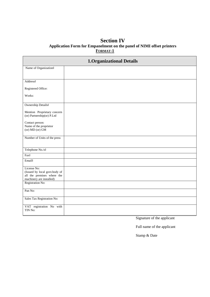## **Section IV Application Form for Empanelment on the panel of NIMI offset printers FORMAT-1**

| <b>1.Organizational Details</b>                                                                        |  |  |  |  |  |
|--------------------------------------------------------------------------------------------------------|--|--|--|--|--|
| Name of Organization <sup>®</sup>                                                                      |  |  |  |  |  |
|                                                                                                        |  |  |  |  |  |
| Address <sup>⊉</sup>                                                                                   |  |  |  |  |  |
| Registered Office:                                                                                     |  |  |  |  |  |
| Works:                                                                                                 |  |  |  |  |  |
| Ownership Details <sup>\$</sup>                                                                        |  |  |  |  |  |
| Mention Proprietary concern<br>(or) Partnership(or) P.Ltd                                              |  |  |  |  |  |
| Contact person:<br>Name of the proprietor<br>(or) MD (or) GM                                           |  |  |  |  |  |
| Number of Units of the press                                                                           |  |  |  |  |  |
| Telephone No./s <sup>2</sup>                                                                           |  |  |  |  |  |
| Fax <sup>₹</sup>                                                                                       |  |  |  |  |  |
| Email <sup>®</sup>                                                                                     |  |  |  |  |  |
| License No:<br>(Issued by local govt.body of<br>all the premises where the<br>machinery are installed) |  |  |  |  |  |
| Registration No:                                                                                       |  |  |  |  |  |
| Pan No:                                                                                                |  |  |  |  |  |
| Sales Tax Registration No:                                                                             |  |  |  |  |  |
| VAT registration No with<br>TIN No:                                                                    |  |  |  |  |  |

Signature of the applicant

Full name of the applicant

Stamp & Date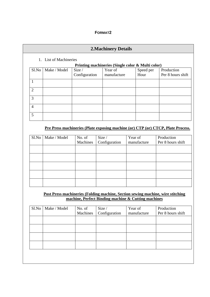## **FORMAT2**

## **2.Machinery Details**

## 1. List of Machineries

## **Printing machineries (Single color & Multi color)**

| S1.No                       | Make / Model | Size /        | $\blacksquare$<br>Year of | Speed per | Production        |
|-----------------------------|--------------|---------------|---------------------------|-----------|-------------------|
|                             |              | Configuration | manufacture               | Hour      | Per 8 hours shift |
|                             |              |               |                           |           |                   |
| $\mathcal{D}_{\mathcal{L}}$ |              |               |                           |           |                   |
| 3                           |              |               |                           |           |                   |
| $\overline{4}$              |              |               |                           |           |                   |
| 5                           |              |               |                           |           |                   |

## **Pre Press machineries (Plate exposing machine (or) CTP (or) CTCP, Plate Process.**

| S1.No | Make / Model | No. of   | Size /        | Year of     | Production        |
|-------|--------------|----------|---------------|-------------|-------------------|
|       |              | Machines | Configuration | manufacture | Per 8 hours shift |
|       |              |          |               |             |                   |
|       |              |          |               |             |                   |
|       |              |          |               |             |                   |
|       |              |          |               |             |                   |
|       |              |          |               |             |                   |
|       |              |          |               |             |                   |
|       |              |          |               |             |                   |
|       |              |          |               |             |                   |
|       |              |          |               |             |                   |

## **Post Press machineries (Folding machine, Section sewing machine, wire stitching machine, Perfect Binding machine & Cutting machines**

| S1.No | Make / Model | No. of   | Size /        | Year of     | Production        |
|-------|--------------|----------|---------------|-------------|-------------------|
|       |              | Machines | Configuration | manufacture | Per 8 hours shift |
|       |              |          |               |             |                   |
|       |              |          |               |             |                   |
|       |              |          |               |             |                   |
|       |              |          |               |             |                   |
|       |              |          |               |             |                   |
|       |              |          |               |             |                   |
|       |              |          |               |             |                   |
|       |              |          |               |             |                   |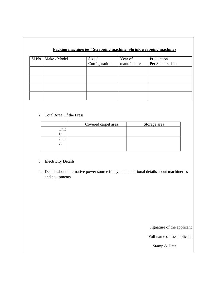## **Packing machineries ( Strapping machine, Shrink wrapping machine)**

| Sl.No   Make / Model | Size /<br>Configuration | Year of<br>manufacture | Production<br>Per 8 hours shift |
|----------------------|-------------------------|------------------------|---------------------------------|
|                      |                         |                        |                                 |
|                      |                         |                        |                                 |
|                      |                         |                        |                                 |
|                      |                         |                        |                                 |

## 2. Total Area Of the Press

|      | Covered carpet area | Storage area |
|------|---------------------|--------------|
| Jnit |                     |              |
| . .  |                     |              |
| Unit |                     |              |
| 2:   |                     |              |
|      |                     |              |

- 3. Electricity Details
- 4. Details about alternative power source if any, and additional details about machineries and equipments

Signature of the applicant

Full name of the applicant

Stamp & Date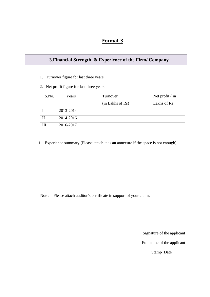## **Format‐3**

|              | Years     | Turnover                                                                           | Net profit (in |
|--------------|-----------|------------------------------------------------------------------------------------|----------------|
|              |           | (in Lakhs of Rs)                                                                   | Lakhs of Rs)   |
| $\mathbf I$  | 2013-2014 |                                                                                    |                |
| $\mathbf{I}$ | 2014-2016 |                                                                                    |                |
| III          | 2016-2017 |                                                                                    |                |
|              |           | 1. Experience summary (Please attach it as an annexure if the space is not enough) |                |

Note: Please attach auditor's certificate in support of your claim.

Signature of the applicant

Full name of the applicant

Stamp Date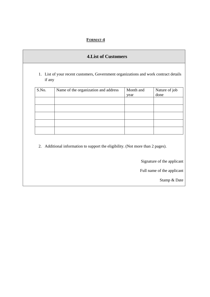## **FORMAT-4**

| S.No. | Name of the organization and address | Month and<br>year | Nature of job<br>done |
|-------|--------------------------------------|-------------------|-----------------------|
|       |                                      |                   |                       |
|       |                                      |                   |                       |
|       |                                      |                   |                       |

Stamp & Date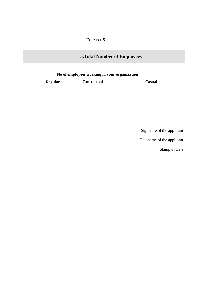# **FORMAT-5**

|                | No of employees working in your organization |                            |
|----------------|----------------------------------------------|----------------------------|
| <b>Regular</b> | Contractual                                  | Casual                     |
|                |                                              |                            |
|                |                                              |                            |
|                |                                              |                            |
|                |                                              |                            |
|                |                                              |                            |
|                |                                              | Signature of the applicant |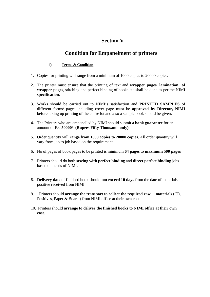# **Section V**

# **Condition for Empanelment of printers**

## **i) Terms & Condition**

- 1. Copies for printing will range from a minimum of 1000 copies to 20000 copies.
- **2.** The printer must ensure that the printing of text and **wrapper pages**, **lamination of wrapper pages**, stitching and perfect binding of books etc shall be done as per the NIMI **specification**.
- **3.** Works should be carried out to NIMI's satisfaction and **PRINTED SAMPLES** of different forms/ pages including cover page must be **approved by Director, NIMI**  before taking up printing of the entire lot and also a sample book should be given.
- **4.** The Printers who are empanelled by NIMI should submit a **bank guarantee** for an amount of **Rs. 50000/- (Rupees Fifty Thousand only)**
- 5. Order quantity will **range from 1000 copies to 20000 copies**. All order quantity will vary from job to job based on the requirement.
- 6. No of pages of book pages to be printed is minimum **64 pages** to **maximum 500 pages**
- 7. Printers should do both **sewing with perfect binding** and **direct perfect binding** jobs based on needs of NIMI.
- 8. **Delivery date** of finished book should **not exceed 10 days** from the date of materials and positive received from NIMI.
- 9. Printers should **arrange the transport to collect the required raw materials** (CD, Positives, Paper & Board ) from NIMI office at their own cost.
- 10. Printers should **arrange to deliver the finished books to NIMI office at their own cost.**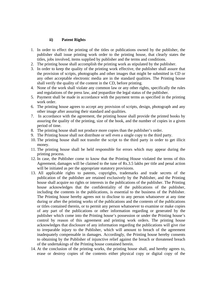## **ii) Patent Rights**

- 1. In order to effect the printing of the titles or publications owned by the publisher, the publisher shall issue printing work order to the printing house, that clearly states the titles, jobs involved, items supplied by publisher and the terms and conditions.
- 2. The printing house shall accomplish the printing work as stipulated by the publisher.
- 3. In order to keep the quality of the printing work effective, the publisher shall assure that the provision of scripts, photographs and other images that might be submitted in CD or any other acceptable electronic media are in the standard qualities. The Printing house shall verify the quality of the content in the CD, before printing.
- 4. None of the work shall violate any common law or any other rights, specifically the rules and regulations of the press law, and jeopardize the legal status of the publisher.
- 5. Payment shall be made in accordance with the payment terms as specified in the printing work order.
- 6. The printing house agrees to accept any provision of scripts, design, photograph and any other image after assuring their standard and qualities.
- 7. In accordance with the agreement, the printing house shall provide the printed books by assuring the quality of the printing, size of the book, and the number of copies in a given period of time.
- 8. The printing house shall not produce more copies than the publisher's order.
- 9. The Printing house shall not distribute or sell even a single copy to the third party.
- 10. The printing house shall not transfer the script to the third party in order to get illicit money.
- 11. The printing house shall be held responsible for errors which may appear during the printing process.
- 12. In case, the Publisher come to know that the Printing House violated the terms of this Agreement, damages will be claimed to the tune of Rs.3.5 lakhs per title and penal action will be initiated as per the appropriate statutory provisions.
- 13. All applicable rights to patents, copyrights, trademarks and trade secrets of the publication of the publisher are retained exclusively by the Publisher, and the Printing house shall acquire no rights or interests in the publications of the publisher. The Printing house acknowledges that the confidentiality of the publications of the publisher, including the contents in the publications, is essential to the business of the Publisher. The Printing house hereby agrees not to disclose to any person whatsoever at any time during or after the printing works of the publications and the contents of the publications or titles contained therein, or to permit any person whatsoever to examine or make copies of any part of the publications or other information regarding or generated by the publisher which come into the Printing house's possession or under the Printing house's control by reason of this agreement and printing work orders. The printing house acknowledges that disclosure of any information regarding the publications will give rise to irreparable injury to the Publisher, which will amount to breach of the agreement inadequately compensable in damages. Accordingly, the Printing house hereby consents to obtaining by the Publisher of injunctive relief against the breach or threatened breach of the undertakings of the Printing house contained herein.
- 14. At the conclusion of the printing works, the printing house shall, and hereby agrees to, erase or destroy copies of the contents either physical copy or digital copy of the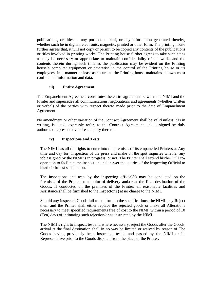publications, or titles or any portions thereof, or any information generated thereby, whether such be in digital, electronic, magnetic, printed or other form. The printing house further agrees that, it will not copy or permit to be copied any contents of the publications or titles involved in printing works. The Printing house further agrees to take such steps as may be necessary or appropriate to maintain confidentiality of the works and the contents therein during such time as the publication may be evident on the Printing house's computer equipment or otherwise in the control of the Printing house or its employees, in a manner at least as secure as the Printing house maintains its own most confidential information and data.

## **iii) Entire Agreement**

The Empanelment Agreement constitutes the entire agreement between the NIMI and the Printer and supersedes all communications, negotiations and agreements (whether written or verbal) of the parties with respect thereto made prior to the date of Empanelment Agreement.

No amendment or other variation of the Contract Agreement shall be valid unless it is in writing, is dated, expressly refers to the Contract Agreement, and is signed by duly authorized representative of each party thereto.

## **iv) Inspections and Tests**

The NIMI has all the rights to enter into the premises of its empanelled Printers at Any time and day for inspection of the press and make on the spot inquiries whether any job assigned by the NIMI is in progress or not. The Printer shall extend his/her Full cooperation to facilitate the inspection and answer the queries of the inspecting Official to his/their fullest satisfaction.

The inspections and tests by the inspecting official(s) may be conducted on the Premises of the Printer or at point of delivery and/or at the final destination of the Goods. If conducted on the premises of the Printer, all reasonable facilities and Assistance shall be furnished to the Inspector(s) at no charge to the NIMI.

Should any inspected Goods fail to conform to the specifications, the NIMI may Reject them and the Printer shall either replace the rejected goods or make all Alterations necessary to meet specified requirements free of cost to the NIMI, within a period of 10 (Ten) days of intimating such rejection/or as instructed by the NIMI.

The NIMI's right to inspect, test and where necessary, reject the Goods after the Goods' arrival at the final destination shall in no way be limited or waived by reason of The Goods having previously been inspected, tested and passed by the NIMI or its Representative prior to the Goods dispatch from the place of the Printer.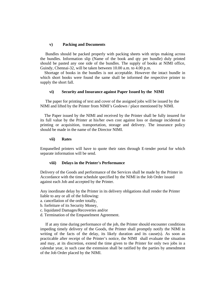#### **v) Packing and Documents**

 Bundles should be packed properly with packing sheets with strips making across the bundles. Information slip (Name of the book and qty per bundle) duly printed should be pasted any one side of the bundles. The supply of books at NIMI office, Guindy, Chennai-32, will be taken between 10.00 a.m. to 4.00 p.m.

 Shortage of books in the bundles is not acceptable. However the intact bundle in which short books were found the same shall be informed the respective printer to supply the short fall.

## **vi) Security and Insurance against Paper Issued by the NIMI**

 The paper for printing of text and cover of the assigned jobs will be issued by the NIMI and lifted by the Printer from NIMI's Godown / place mentioned by NIMI.

 The Paper issued by the NIMI and received by the Printer shall be fully insured for its full value by the Printer at his/her own cost against loss or damage incidental to printing or acquisition, transportation, storage and delivery. The insurance policy should be made in the name of the Director NIMI.

#### **vii) Rates**

Empanelled printers will have to quote their rates through E-tender portal for which separate information will be send.

#### **viii) Delays in the Printer's Performance**

Delivery of the Goods and performance of the Services shall be made by the Printer in Accordance with the time schedule specified by the NIMI in the Job Order issued against each Job and accepted by the Printer.

Any inordinate delay by the Printer in its delivery obligations shall render the Printer liable to any or all of the following:

a. cancellation of the order totally,

b. forfeiture of its Security Money,

- c. liquidated Damages/Recoveries and/or
- d. Termination of the Empanelment Agreement.

 If at any time during performance of the job, the Printer should encounter conditions impeding timely delivery of the Goods, the Printer shall promptly notify the NIMI in writing of the facts of the delay, its likely duration and its cause(s). As soon as practicable after receipt of the Printer's notice, the NIMI shall evaluate the situation and may, at its discretion, extend the time given to the Printer for only two jobs in a calendar year, in such case the extension shall be ratified by the parties by amendment of the Job Order placed by the NIMI.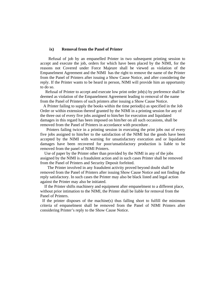#### **ix) Removal from the Panel of Printer**

 Refusal of job by an empanelled Printer in two subsequent printing session to accept and execute the job, orders for which have been placed by the NIMI, for the reasons not Covered under Force Majeure shall be viewed as violation of the Empanelment Agreement and the NIMI has the right to remove the name of the Printer from the Panel of Printers after issuing a Show Cause Notice, and after considering the reply. If the Printer wants to be heard in person, NIMI will provide him an opportunity to do so.

 Refusal of Printer to accept and execute low print order job(s) by preference shall be deemed as violation of the Empanelment Agreement leading to removal of the name from the Panel of Printers of such printers after issuing a Show Cause Notice.

 A Printer failing to supply the books within the time period(s) as specified in the Job Order or within extension thereof granted by the NIMI in a printing session for any of the three out of every five jobs assigned to him/her for execution and liquidated damages in this regard has been imposed on him/her on all such occasions, shall be removed from the Panel of Printers in accordance with procedure .

 Printers failing twice in a printing session in executing the print jobs out of every five jobs assigned to him/her to the satisfaction of the NIMI but the goods have been accepted by the NIMI with warning for unsatisfactory execution and or liquidated damages have been recovered for poor/unsatisfactory production is liable to be removed from the panel of NIMI Printers.

 Use of paper by the Printer other than provided by the NIMI in any of the jobs assigned by the NIMI is a fraudulent action and in such cases Printer shall be removed from the Panel of Printers and Security Deposit forfeited.

 The Printer involved in any fraudulent activity proved beyond doubt shall be removed from the Panel of Printers after issuing Show Cause Notice and not finding the reply satisfactory. In such cases the Printer may also be black listed and legal action against the Printer may also be initiated.

 If the Printer shifts machinery and equipment after empanelment to a different place, without prior intimation to the NIMI, the Printer shall be liable for removal from the Panel of Printers.

 If the printer disposes of the machine(s) thus falling short to fulfill the minimum criteria of empanelment shall be removed from the Panel of NIMI Printers after considering Printer's reply to the Show Cause Notice.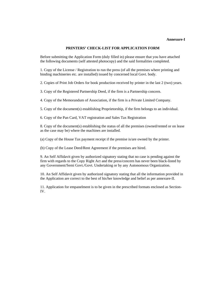#### **Annexure-I**

#### **PRINTERS' CHECK-LIST FOR APPLICATION FORM**

Before submitting the Application Form (duly filled in) please ensure that you have attached the following documents (self attested photocopy) and the said formalities completed.

1. Copy of the License / Registration to run the press (of all the premises where printing and binding machineries etc. are installed) issued by concerned local Govt. body.

2. Copies of Print Job Orders for book production received by printer in the last 2 (two) years.

3. Copy of the Registered Partnership Deed, if the firm is a Partnership concern.

4. Copy of the Memorandum of Association, if the firm is a Private Limited Company.

5. Copy of the document(s) establishing Proprietorship, if the firm belongs to an individual.

6. Copy of the Pan Card, VAT registration and Sales Tax Registration

8. Copy of the document(s) establishing the status of all the premises (owned/rented or on lease as the case may be) where the machines are installed.

(a) Copy of the House Tax payment receipt if the premise is/are owned by the printer.

(b) Copy of the Lease Deed/Rent Agreement if the premises are hired.

9. An Self Affidavit given by authorized signatory stating that no case is pending against the firm with regards to the Copy Right Act and the press/concern has never been black-listed by any Government/Semi Govt./Govt. Undertaking or by any Autonomous Organization.

10. An Self Affidavit given by authorized signatory stating that all the information provided in the Application are correct to the best of his/her knowledge and belief as per annexure-II.

11. Application for empanelment is to be given in the prescribed formats enclosed as Section-IV.